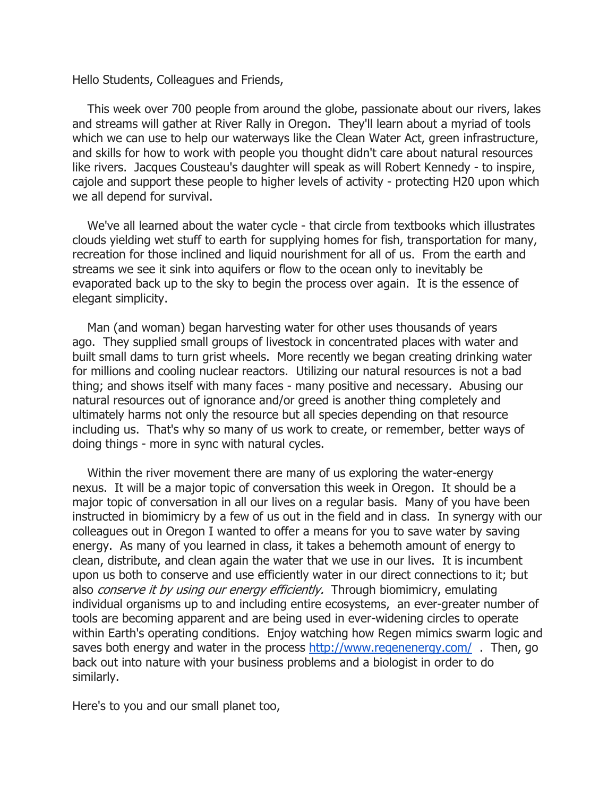Hello Students, Colleagues and Friends,

 This week over 700 people from around the globe, passionate about our rivers, lakes and streams will gather at River Rally in Oregon. They'll learn about a myriad of tools which we can use to help our waterways like the Clean Water Act, green infrastructure, and skills for how to work with people you thought didn't care about natural resources like rivers. Jacques Cousteau's daughter will speak as will Robert Kennedy - to inspire, cajole and support these people to higher levels of activity - protecting H20 upon which we all depend for survival.

 We've all learned about the water cycle - that circle from textbooks which illustrates clouds yielding wet stuff to earth for supplying homes for fish, transportation for many, recreation for those inclined and liquid nourishment for all of us. From the earth and streams we see it sink into aquifers or flow to the ocean only to inevitably be evaporated back up to the sky to begin the process over again. It is the essence of elegant simplicity.

 Man (and woman) began harvesting water for other uses thousands of years ago. They supplied small groups of livestock in concentrated places with water and built small dams to turn grist wheels. More recently we began creating drinking water for millions and cooling nuclear reactors. Utilizing our natural resources is not a bad thing; and shows itself with many faces - many positive and necessary. Abusing our natural resources out of ignorance and/or greed is another thing completely and ultimately harms not only the resource but all species depending on that resource including us. That's why so many of us work to create, or remember, better ways of doing things - more in sync with natural cycles.

 Within the river movement there are many of us exploring the water-energy nexus. It will be a major topic of conversation this week in Oregon. It should be a major topic of conversation in all our lives on a regular basis. Many of you have been instructed in biomimicry by a few of us out in the field and in class. In synergy with our colleagues out in Oregon I wanted to offer a means for you to save water by saving energy. As many of you learned in class, it takes a behemoth amount of energy to clean, distribute, and clean again the water that we use in our lives. It is incumbent upon us both to conserve and use efficiently water in our direct connections to it; but also *conserve it by using our energy efficiently*. Through biomimicry, emulating individual organisms up to and including entire ecosystems, an ever-greater number of tools are becoming apparent and are being used in ever-widening circles to operate within Earth's operating conditions. Enjoy watching how Regen mimics swarm logic and saves both energy and water in the process http://www.regenenergy.com/. Then, go back out into nature with your business problems and a biologist in order to do similarly.

Here's to you and our small planet too,